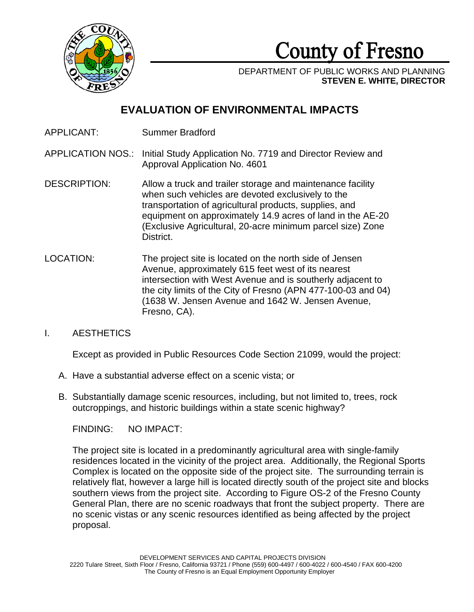

County of Fresno

DEPARTMENT OF PUBLIC WORKS AND PLANNING **STEVEN E. WHITE, DIRECTOR**

# **EVALUATION OF ENVIRONMENTAL IMPACTS**

- APPLICANT: Summer Bradford
- APPLICATION NOS.: Initial Study Application No. 7719 and Director Review and Approval Application No. 4601
- DESCRIPTION: Allow a truck and trailer storage and maintenance facility when such vehicles are devoted exclusively to the transportation of agricultural products, supplies, and equipment on approximately 14.9 acres of land in the AE-20 (Exclusive Agricultural, 20-acre minimum parcel size) Zone District.
- LOCATION: The project site is located on the north side of Jensen Avenue, approximately 615 feet west of its nearest intersection with West Avenue and is southerly adjacent to the city limits of the City of Fresno (APN 477-100-03 and 04) (1638 W. Jensen Avenue and 1642 W. Jensen Avenue, Fresno, CA).

# I. AESTHETICS

Except as provided in Public Resources Code Section 21099, would the project:

- A. Have a substantial adverse effect on a scenic vista; or
- B. Substantially damage scenic resources, including, but not limited to, trees, rock outcroppings, and historic buildings within a state scenic highway?

FINDING: NO IMPACT:

The project site is located in a predominantly agricultural area with single-family residences located in the vicinity of the project area. Additionally, the Regional Sports Complex is located on the opposite side of the project site. The surrounding terrain is relatively flat, however a large hill is located directly south of the project site and blocks southern views from the project site. According to Figure OS-2 of the Fresno County General Plan, there are no scenic roadways that front the subject property. There are no scenic vistas or any scenic resources identified as being affected by the project proposal.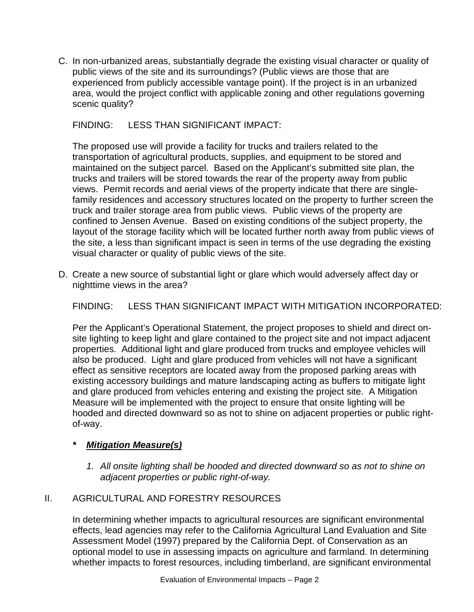C. In non-urbanized areas, substantially degrade the existing visual character or quality of public views of the site and its surroundings? (Public views are those that are experienced from publicly accessible vantage point). If the project is in an urbanized area, would the project conflict with applicable zoning and other regulations governing scenic quality?

# FINDING: LESS THAN SIGNIFICANT IMPACT:

The proposed use will provide a facility for trucks and trailers related to the transportation of agricultural products, supplies, and equipment to be stored and maintained on the subject parcel. Based on the Applicant's submitted site plan, the trucks and trailers will be stored towards the rear of the property away from public views. Permit records and aerial views of the property indicate that there are singlefamily residences and accessory structures located on the property to further screen the truck and trailer storage area from public views. Public views of the property are confined to Jensen Avenue. Based on existing conditions of the subject property, the layout of the storage facility which will be located further north away from public views of the site, a less than significant impact is seen in terms of the use degrading the existing visual character or quality of public views of the site.

D. Create a new source of substantial light or glare which would adversely affect day or nighttime views in the area?

FINDING: LESS THAN SIGNIFICANT IMPACT WITH MITIGATION INCORPORATED:

Per the Applicant's Operational Statement, the project proposes to shield and direct onsite lighting to keep light and glare contained to the project site and not impact adjacent properties. Additional light and glare produced from trucks and employee vehicles will also be produced. Light and glare produced from vehicles will not have a significant effect as sensitive receptors are located away from the proposed parking areas with existing accessory buildings and mature landscaping acting as buffers to mitigate light and glare produced from vehicles entering and existing the project site. A Mitigation Measure will be implemented with the project to ensure that onsite lighting will be hooded and directed downward so as not to shine on adjacent properties or public rightof-way.

# *\* Mitigation Measure(s)*

*1. All onsite lighting shall be hooded and directed downward so as not to shine on adjacent properties or public right-of-way.* 

# II. AGRICULTURAL AND FORESTRY RESOURCES

In determining whether impacts to agricultural resources are significant environmental effects, lead agencies may refer to the California Agricultural Land Evaluation and Site Assessment Model (1997) prepared by the California Dept. of Conservation as an optional model to use in assessing impacts on agriculture and farmland. In determining whether impacts to forest resources, including timberland, are significant environmental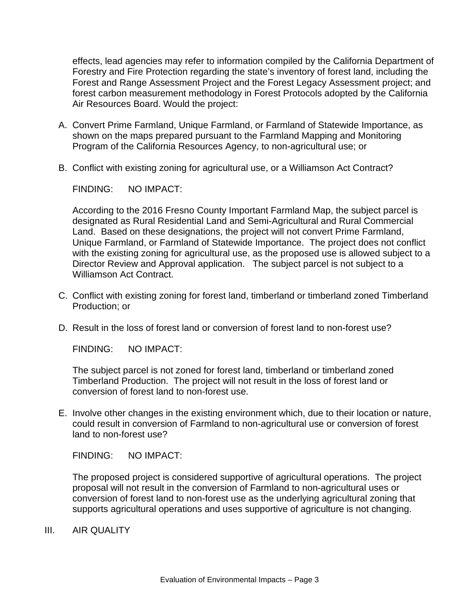effects, lead agencies may refer to information compiled by the California Department of Forestry and Fire Protection regarding the state's inventory of forest land, including the Forest and Range Assessment Project and the Forest Legacy Assessment project; and forest carbon measurement methodology in Forest Protocols adopted by the California Air Resources Board. Would the project:

- A. Convert Prime Farmland, Unique Farmland, or Farmland of Statewide Importance, as shown on the maps prepared pursuant to the Farmland Mapping and Monitoring Program of the California Resources Agency, to non-agricultural use; or
- B. Conflict with existing zoning for agricultural use, or a Williamson Act Contract?

FINDING: NO IMPACT:

According to the 2016 Fresno County Important Farmland Map, the subject parcel is designated as Rural Residential Land and Semi-Agricultural and Rural Commercial Land. Based on these designations, the project will not convert Prime Farmland, Unique Farmland, or Farmland of Statewide Importance. The project does not conflict with the existing zoning for agricultural use, as the proposed use is allowed subject to a Director Review and Approval application. The subject parcel is not subject to a Williamson Act Contract.

- C. Conflict with existing zoning for forest land, timberland or timberland zoned Timberland Production; or
- D. Result in the loss of forest land or conversion of forest land to non-forest use?

FINDING: NO IMPACT:

The subject parcel is not zoned for forest land, timberland or timberland zoned Timberland Production. The project will not result in the loss of forest land or conversion of forest land to non-forest use.

E. Involve other changes in the existing environment which, due to their location or nature, could result in conversion of Farmland to non-agricultural use or conversion of forest land to non-forest use?

FINDING: NO IMPACT:

The proposed project is considered supportive of agricultural operations. The project proposal will not result in the conversion of Farmland to non-agricultural uses or conversion of forest land to non-forest use as the underlying agricultural zoning that supports agricultural operations and uses supportive of agriculture is not changing.

III. AIR QUALITY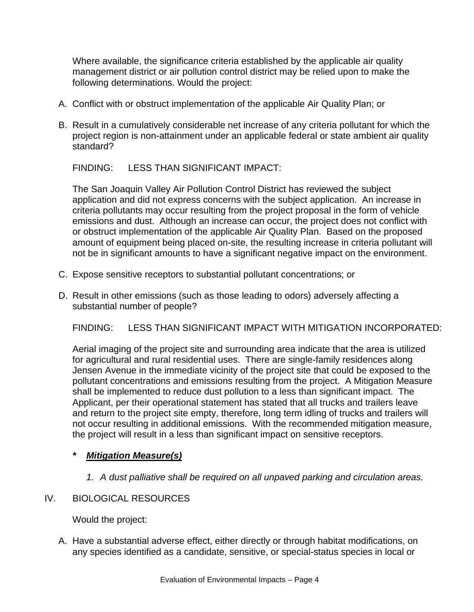Where available, the significance criteria established by the applicable air quality management district or air pollution control district may be relied upon to make the following determinations. Would the project:

- A. Conflict with or obstruct implementation of the applicable Air Quality Plan; or
- B. Result in a cumulatively considerable net increase of any criteria pollutant for which the project region is non-attainment under an applicable federal or state ambient air quality standard?

FINDING: LESS THAN SIGNIFICANT IMPACT:

The San Joaquin Valley Air Pollution Control District has reviewed the subject application and did not express concerns with the subject application. An increase in criteria pollutants may occur resulting from the project proposal in the form of vehicle emissions and dust. Although an increase can occur, the project does not conflict with or obstruct implementation of the applicable Air Quality Plan. Based on the proposed amount of equipment being placed on-site, the resulting increase in criteria pollutant will not be in significant amounts to have a significant negative impact on the environment.

- C. Expose sensitive receptors to substantial pollutant concentrations; or
- D. Result in other emissions (such as those leading to odors) adversely affecting a substantial number of people?

FINDING: LESS THAN SIGNIFICANT IMPACT WITH MITIGATION INCORPORATED:

Aerial imaging of the project site and surrounding area indicate that the area is utilized for agricultural and rural residential uses. There are single-family residences along Jensen Avenue in the immediate vicinity of the project site that could be exposed to the pollutant concentrations and emissions resulting from the project. A Mitigation Measure shall be implemented to reduce dust pollution to a less than significant impact. The Applicant, per their operational statement has stated that all trucks and trailers leave and return to the project site empty, therefore, long term idling of trucks and trailers will not occur resulting in additional emissions. With the recommended mitigation measure, the project will result in a less than significant impact on sensitive receptors.

## *\* Mitigation Measure(s)*

*1. A dust palliative shall be required on all unpaved parking and circulation areas.* 

## IV. BIOLOGICAL RESOURCES

Would the project:

A. Have a substantial adverse effect, either directly or through habitat modifications, on any species identified as a candidate, sensitive, or special-status species in local or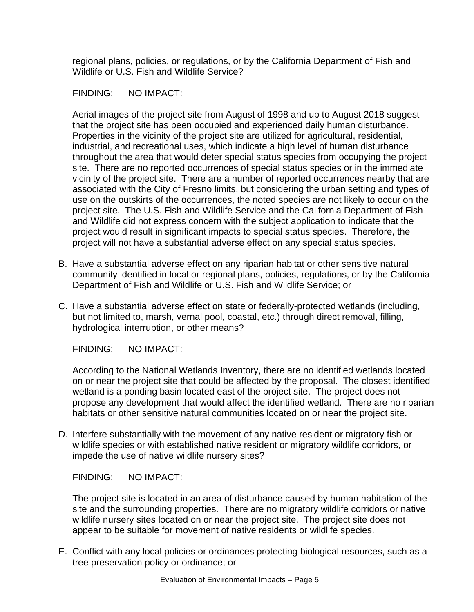regional plans, policies, or regulations, or by the California Department of Fish and Wildlife or U.S. Fish and Wildlife Service?

FINDING: NO IMPACT:

Aerial images of the project site from August of 1998 and up to August 2018 suggest that the project site has been occupied and experienced daily human disturbance. Properties in the vicinity of the project site are utilized for agricultural, residential, industrial, and recreational uses, which indicate a high level of human disturbance throughout the area that would deter special status species from occupying the project site. There are no reported occurrences of special status species or in the immediate vicinity of the project site. There are a number of reported occurrences nearby that are associated with the City of Fresno limits, but considering the urban setting and types of use on the outskirts of the occurrences, the noted species are not likely to occur on the project site. The U.S. Fish and Wildlife Service and the California Department of Fish and Wildlife did not express concern with the subject application to indicate that the project would result in significant impacts to special status species. Therefore, the project will not have a substantial adverse effect on any special status species.

- B. Have a substantial adverse effect on any riparian habitat or other sensitive natural community identified in local or regional plans, policies, regulations, or by the California Department of Fish and Wildlife or U.S. Fish and Wildlife Service; or
- C. Have a substantial adverse effect on state or federally-protected wetlands (including, but not limited to, marsh, vernal pool, coastal, etc.) through direct removal, filling, hydrological interruption, or other means?

FINDING: NO IMPACT:

According to the National Wetlands Inventory, there are no identified wetlands located on or near the project site that could be affected by the proposal. The closest identified wetland is a ponding basin located east of the project site. The project does not propose any development that would affect the identified wetland. There are no riparian habitats or other sensitive natural communities located on or near the project site.

D. Interfere substantially with the movement of any native resident or migratory fish or wildlife species or with established native resident or migratory wildlife corridors, or impede the use of native wildlife nursery sites?

FINDING: NO IMPACT:

The project site is located in an area of disturbance caused by human habitation of the site and the surrounding properties. There are no migratory wildlife corridors or native wildlife nursery sites located on or near the project site. The project site does not appear to be suitable for movement of native residents or wildlife species.

E. Conflict with any local policies or ordinances protecting biological resources, such as a tree preservation policy or ordinance; or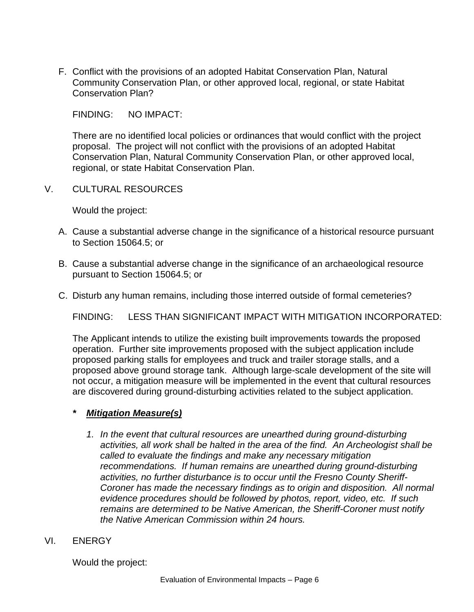F. Conflict with the provisions of an adopted Habitat Conservation Plan, Natural Community Conservation Plan, or other approved local, regional, or state Habitat Conservation Plan?

FINDING: NO IMPACT:

There are no identified local policies or ordinances that would conflict with the project proposal. The project will not conflict with the provisions of an adopted Habitat Conservation Plan, Natural Community Conservation Plan, or other approved local, regional, or state Habitat Conservation Plan.

V. CULTURAL RESOURCES

Would the project:

- A. Cause a substantial adverse change in the significance of a historical resource pursuant to Section 15064.5; or
- B. Cause a substantial adverse change in the significance of an archaeological resource pursuant to Section 15064.5; or
- C. Disturb any human remains, including those interred outside of formal cemeteries?

FINDING: LESS THAN SIGNIFICANT IMPACT WITH MITIGATION INCORPORATED:

The Applicant intends to utilize the existing built improvements towards the proposed operation. Further site improvements proposed with the subject application include proposed parking stalls for employees and truck and trailer storage stalls, and a proposed above ground storage tank. Although large-scale development of the site will not occur, a mitigation measure will be implemented in the event that cultural resources are discovered during ground-disturbing activities related to the subject application.

- *\* Mitigation Measure(s)*
	- *1. In the event that cultural resources are unearthed during ground-disturbing activities, all work shall be halted in the area of the find. An Archeologist shall be called to evaluate the findings and make any necessary mitigation recommendations. If human remains are unearthed during ground-disturbing activities, no further disturbance is to occur until the Fresno County Sheriff-Coroner has made the necessary findings as to origin and disposition. All normal evidence procedures should be followed by photos, report, video, etc. If such remains are determined to be Native American, the Sheriff-Coroner must notify the Native American Commission within 24 hours.*
- VI. ENERGY

Would the project: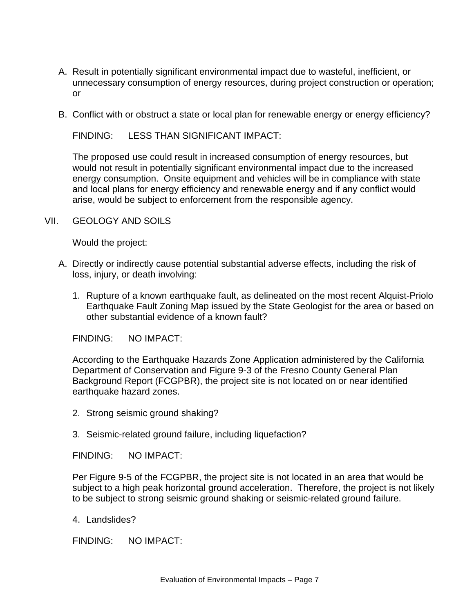- A. Result in potentially significant environmental impact due to wasteful, inefficient, or unnecessary consumption of energy resources, during project construction or operation; or
- B. Conflict with or obstruct a state or local plan for renewable energy or energy efficiency?

FINDING: LESS THAN SIGNIFICANT IMPACT:

The proposed use could result in increased consumption of energy resources, but would not result in potentially significant environmental impact due to the increased energy consumption. Onsite equipment and vehicles will be in compliance with state and local plans for energy efficiency and renewable energy and if any conflict would arise, would be subject to enforcement from the responsible agency.

#### VII. GEOLOGY AND SOILS

Would the project:

- A. Directly or indirectly cause potential substantial adverse effects, including the risk of loss, injury, or death involving:
	- 1. Rupture of a known earthquake fault, as delineated on the most recent Alquist-Priolo Earthquake Fault Zoning Map issued by the State Geologist for the area or based on other substantial evidence of a known fault?

FINDING: NO IMPACT:

According to the Earthquake Hazards Zone Application administered by the California Department of Conservation and Figure 9-3 of the Fresno County General Plan Background Report (FCGPBR), the project site is not located on or near identified earthquake hazard zones.

- 2. Strong seismic ground shaking?
- 3. Seismic-related ground failure, including liquefaction?

FINDING: NO IMPACT:

Per Figure 9-5 of the FCGPBR, the project site is not located in an area that would be subject to a high peak horizontal ground acceleration. Therefore, the project is not likely to be subject to strong seismic ground shaking or seismic-related ground failure.

4. Landslides?

FINDING: NO IMPACT: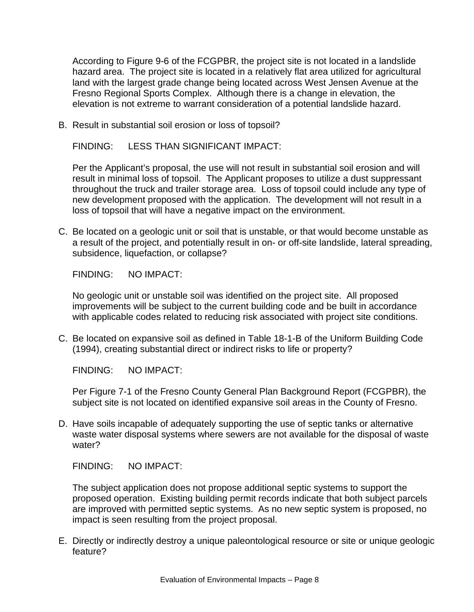According to Figure 9-6 of the FCGPBR, the project site is not located in a landslide hazard area. The project site is located in a relatively flat area utilized for agricultural land with the largest grade change being located across West Jensen Avenue at the Fresno Regional Sports Complex. Although there is a change in elevation, the elevation is not extreme to warrant consideration of a potential landslide hazard.

B. Result in substantial soil erosion or loss of topsoil?

FINDING: LESS THAN SIGNIFICANT IMPACT:

Per the Applicant's proposal, the use will not result in substantial soil erosion and will result in minimal loss of topsoil. The Applicant proposes to utilize a dust suppressant throughout the truck and trailer storage area. Loss of topsoil could include any type of new development proposed with the application. The development will not result in a loss of topsoil that will have a negative impact on the environment.

C. Be located on a geologic unit or soil that is unstable, or that would become unstable as a result of the project, and potentially result in on- or off-site landslide, lateral spreading, subsidence, liquefaction, or collapse?

FINDING: NO IMPACT:

No geologic unit or unstable soil was identified on the project site. All proposed improvements will be subject to the current building code and be built in accordance with applicable codes related to reducing risk associated with project site conditions.

C. Be located on expansive soil as defined in Table 18-1-B of the Uniform Building Code (1994), creating substantial direct or indirect risks to life or property?

FINDING: NO IMPACT:

Per Figure 7-1 of the Fresno County General Plan Background Report (FCGPBR), the subject site is not located on identified expansive soil areas in the County of Fresno.

D. Have soils incapable of adequately supporting the use of septic tanks or alternative waste water disposal systems where sewers are not available for the disposal of waste water?

FINDING: NO IMPACT:

The subject application does not propose additional septic systems to support the proposed operation. Existing building permit records indicate that both subject parcels are improved with permitted septic systems. As no new septic system is proposed, no impact is seen resulting from the project proposal.

E. Directly or indirectly destroy a unique paleontological resource or site or unique geologic feature?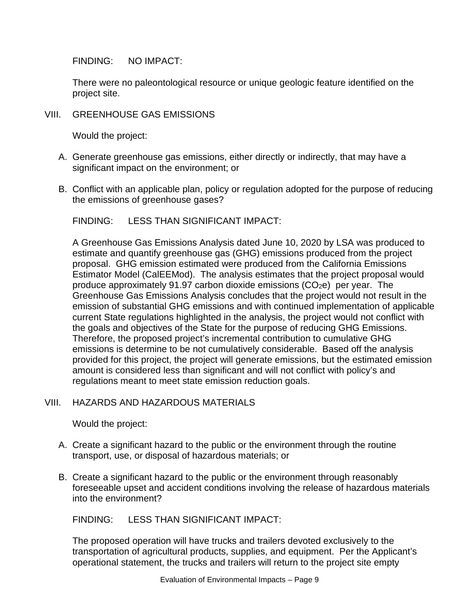FINDING: NO IMPACT:

There were no paleontological resource or unique geologic feature identified on the project site.

VIII. GREENHOUSE GAS EMISSIONS

Would the project:

- A. Generate greenhouse gas emissions, either directly or indirectly, that may have a significant impact on the environment; or
- B. Conflict with an applicable plan, policy or regulation adopted for the purpose of reducing the emissions of greenhouse gases?

## FINDING: LESS THAN SIGNIFICANT IMPACT:

A Greenhouse Gas Emissions Analysis dated June 10, 2020 by LSA was produced to estimate and quantify greenhouse gas (GHG) emissions produced from the project proposal. GHG emission estimated were produced from the California Emissions Estimator Model (CalEEMod). The analysis estimates that the project proposal would produce approximately 91.97 carbon dioxide emissions  $(CO<sub>2</sub>e)$  per year. The Greenhouse Gas Emissions Analysis concludes that the project would not result in the emission of substantial GHG emissions and with continued implementation of applicable current State regulations highlighted in the analysis, the project would not conflict with the goals and objectives of the State for the purpose of reducing GHG Emissions. Therefore, the proposed project's incremental contribution to cumulative GHG emissions is determine to be not cumulatively considerable. Based off the analysis provided for this project, the project will generate emissions, but the estimated emission amount is considered less than significant and will not conflict with policy's and regulations meant to meet state emission reduction goals.

## VIII. HAZARDS AND HAZARDOUS MATERIALS

Would the project:

- A. Create a significant hazard to the public or the environment through the routine transport, use, or disposal of hazardous materials; or
- B. Create a significant hazard to the public or the environment through reasonably foreseeable upset and accident conditions involving the release of hazardous materials into the environment?

## FINDING: LESS THAN SIGNIFICANT IMPACT:

The proposed operation will have trucks and trailers devoted exclusively to the transportation of agricultural products, supplies, and equipment. Per the Applicant's operational statement, the trucks and trailers will return to the project site empty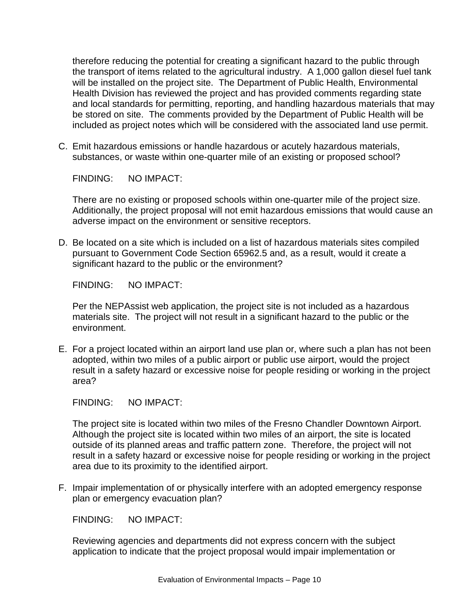therefore reducing the potential for creating a significant hazard to the public through the transport of items related to the agricultural industry. A 1,000 gallon diesel fuel tank will be installed on the project site. The Department of Public Health, Environmental Health Division has reviewed the project and has provided comments regarding state and local standards for permitting, reporting, and handling hazardous materials that may be stored on site. The comments provided by the Department of Public Health will be included as project notes which will be considered with the associated land use permit.

C. Emit hazardous emissions or handle hazardous or acutely hazardous materials, substances, or waste within one-quarter mile of an existing or proposed school?

FINDING: NO IMPACT:

There are no existing or proposed schools within one-quarter mile of the project size. Additionally, the project proposal will not emit hazardous emissions that would cause an adverse impact on the environment or sensitive receptors.

D. Be located on a site which is included on a list of hazardous materials sites compiled pursuant to Government Code Section 65962.5 and, as a result, would it create a significant hazard to the public or the environment?

FINDING: NO IMPACT:

Per the NEPAssist web application, the project site is not included as a hazardous materials site. The project will not result in a significant hazard to the public or the environment.

E. For a project located within an airport land use plan or, where such a plan has not been adopted, within two miles of a public airport or public use airport, would the project result in a safety hazard or excessive noise for people residing or working in the project area?

FINDING: NO IMPACT:

The project site is located within two miles of the Fresno Chandler Downtown Airport. Although the project site is located within two miles of an airport, the site is located outside of its planned areas and traffic pattern zone. Therefore, the project will not result in a safety hazard or excessive noise for people residing or working in the project area due to its proximity to the identified airport.

F. Impair implementation of or physically interfere with an adopted emergency response plan or emergency evacuation plan?

FINDING: NO IMPACT:

Reviewing agencies and departments did not express concern with the subject application to indicate that the project proposal would impair implementation or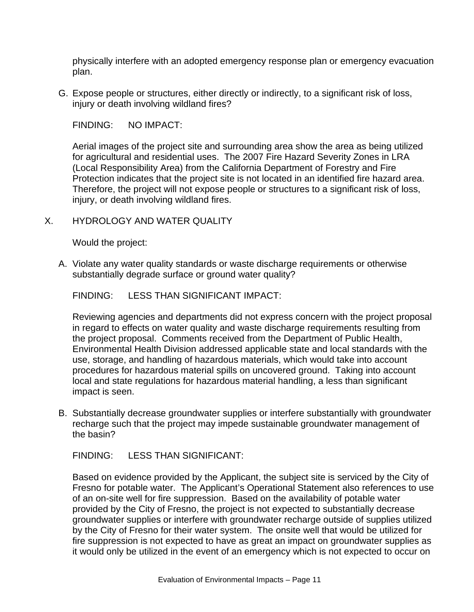physically interfere with an adopted emergency response plan or emergency evacuation plan.

G. Expose people or structures, either directly or indirectly, to a significant risk of loss, injury or death involving wildland fires?

FINDING: NO IMPACT:

Aerial images of the project site and surrounding area show the area as being utilized for agricultural and residential uses. The 2007 Fire Hazard Severity Zones in LRA (Local Responsibility Area) from the California Department of Forestry and Fire Protection indicates that the project site is not located in an identified fire hazard area. Therefore, the project will not expose people or structures to a significant risk of loss, injury, or death involving wildland fires.

### X. HYDROLOGY AND WATER QUALITY

Would the project:

A. Violate any water quality standards or waste discharge requirements or otherwise substantially degrade surface or ground water quality?

FINDING: LESS THAN SIGNIFICANT IMPACT:

Reviewing agencies and departments did not express concern with the project proposal in regard to effects on water quality and waste discharge requirements resulting from the project proposal. Comments received from the Department of Public Health, Environmental Health Division addressed applicable state and local standards with the use, storage, and handling of hazardous materials, which would take into account procedures for hazardous material spills on uncovered ground. Taking into account local and state regulations for hazardous material handling, a less than significant impact is seen.

B. Substantially decrease groundwater supplies or interfere substantially with groundwater recharge such that the project may impede sustainable groundwater management of the basin?

FINDING: LESS THAN SIGNIFICANT:

Based on evidence provided by the Applicant, the subject site is serviced by the City of Fresno for potable water. The Applicant's Operational Statement also references to use of an on-site well for fire suppression. Based on the availability of potable water provided by the City of Fresno, the project is not expected to substantially decrease groundwater supplies or interfere with groundwater recharge outside of supplies utilized by the City of Fresno for their water system. The onsite well that would be utilized for fire suppression is not expected to have as great an impact on groundwater supplies as it would only be utilized in the event of an emergency which is not expected to occur on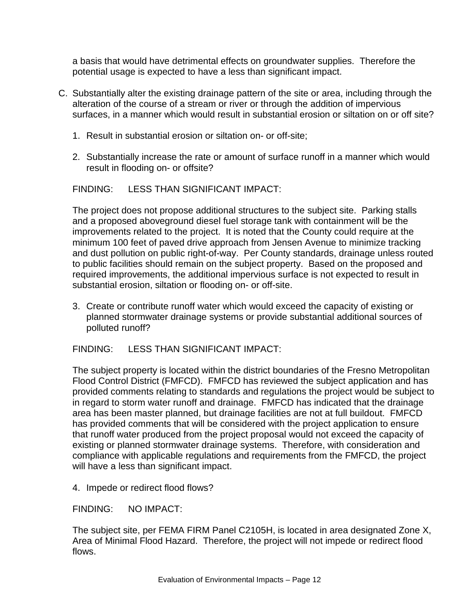a basis that would have detrimental effects on groundwater supplies. Therefore the potential usage is expected to have a less than significant impact.

- C. Substantially alter the existing drainage pattern of the site or area, including through the alteration of the course of a stream or river or through the addition of impervious surfaces, in a manner which would result in substantial erosion or siltation on or off site?
	- 1. Result in substantial erosion or siltation on- or off-site;
	- 2. Substantially increase the rate or amount of surface runoff in a manner which would result in flooding on- or offsite?

#### FINDING: LESS THAN SIGNIFICANT IMPACT:

The project does not propose additional structures to the subject site. Parking stalls and a proposed aboveground diesel fuel storage tank with containment will be the improvements related to the project. It is noted that the County could require at the minimum 100 feet of paved drive approach from Jensen Avenue to minimize tracking and dust pollution on public right-of-way. Per County standards, drainage unless routed to public facilities should remain on the subject property. Based on the proposed and required improvements, the additional impervious surface is not expected to result in substantial erosion, siltation or flooding on- or off-site.

3. Create or contribute runoff water which would exceed the capacity of existing or planned stormwater drainage systems or provide substantial additional sources of polluted runoff?

FINDING: LESS THAN SIGNIFICANT IMPACT:

The subject property is located within the district boundaries of the Fresno Metropolitan Flood Control District (FMFCD). FMFCD has reviewed the subject application and has provided comments relating to standards and regulations the project would be subject to in regard to storm water runoff and drainage. FMFCD has indicated that the drainage area has been master planned, but drainage facilities are not at full buildout. FMFCD has provided comments that will be considered with the project application to ensure that runoff water produced from the project proposal would not exceed the capacity of existing or planned stormwater drainage systems. Therefore, with consideration and compliance with applicable regulations and requirements from the FMFCD, the project will have a less than significant impact.

4. Impede or redirect flood flows?

FINDING: NO IMPACT:

The subject site, per FEMA FIRM Panel C2105H, is located in area designated Zone X, Area of Minimal Flood Hazard. Therefore, the project will not impede or redirect flood flows.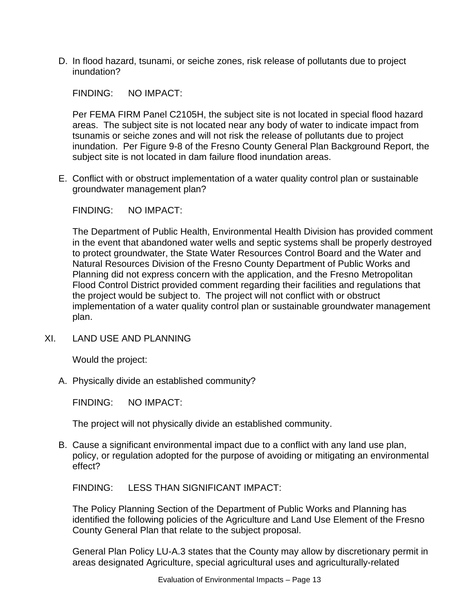D. In flood hazard, tsunami, or seiche zones, risk release of pollutants due to project inundation?

FINDING: NO IMPACT:

Per FEMA FIRM Panel C2105H, the subject site is not located in special flood hazard areas. The subject site is not located near any body of water to indicate impact from tsunamis or seiche zones and will not risk the release of pollutants due to project inundation. Per Figure 9-8 of the Fresno County General Plan Background Report, the subject site is not located in dam failure flood inundation areas.

E. Conflict with or obstruct implementation of a water quality control plan or sustainable groundwater management plan?

FINDING: NO IMPACT:

The Department of Public Health, Environmental Health Division has provided comment in the event that abandoned water wells and septic systems shall be properly destroyed to protect groundwater, the State Water Resources Control Board and the Water and Natural Resources Division of the Fresno County Department of Public Works and Planning did not express concern with the application, and the Fresno Metropolitan Flood Control District provided comment regarding their facilities and regulations that the project would be subject to. The project will not conflict with or obstruct implementation of a water quality control plan or sustainable groundwater management plan.

XI. LAND USE AND PLANNING

Would the project:

A. Physically divide an established community?

FINDING: NO IMPACT:

The project will not physically divide an established community.

B. Cause a significant environmental impact due to a conflict with any land use plan, policy, or regulation adopted for the purpose of avoiding or mitigating an environmental effect?

FINDING: LESS THAN SIGNIFICANT IMPACT:

The Policy Planning Section of the Department of Public Works and Planning has identified the following policies of the Agriculture and Land Use Element of the Fresno County General Plan that relate to the subject proposal.

General Plan Policy LU-A.3 states that the County may allow by discretionary permit in areas designated Agriculture, special agricultural uses and agriculturally-related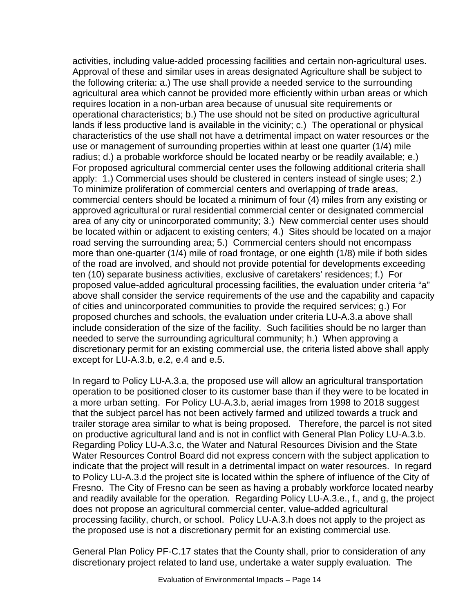activities, including value-added processing facilities and certain non-agricultural uses. Approval of these and similar uses in areas designated Agriculture shall be subject to the following criteria: a.) The use shall provide a needed service to the surrounding agricultural area which cannot be provided more efficiently within urban areas or which requires location in a non-urban area because of unusual site requirements or operational characteristics; b.) The use should not be sited on productive agricultural lands if less productive land is available in the vicinity; c.) The operational or physical characteristics of the use shall not have a detrimental impact on water resources or the use or management of surrounding properties within at least one quarter (1/4) mile radius; d.) a probable workforce should be located nearby or be readily available; e.) For proposed agricultural commercial center uses the following additional criteria shall apply: 1.) Commercial uses should be clustered in centers instead of single uses; 2.) To minimize proliferation of commercial centers and overlapping of trade areas, commercial centers should be located a minimum of four (4) miles from any existing or approved agricultural or rural residential commercial center or designated commercial area of any city or unincorporated community; 3.) New commercial center uses should be located within or adjacent to existing centers; 4.) Sites should be located on a major road serving the surrounding area; 5.) Commercial centers should not encompass more than one-quarter (1/4) mile of road frontage, or one eighth (1/8) mile if both sides of the road are involved, and should not provide potential for developments exceeding ten (10) separate business activities, exclusive of caretakers' residences; f.) For proposed value-added agricultural processing facilities, the evaluation under criteria "a" above shall consider the service requirements of the use and the capability and capacity of cities and unincorporated communities to provide the required services; g.) For proposed churches and schools, the evaluation under criteria LU-A.3.a above shall include consideration of the size of the facility. Such facilities should be no larger than needed to serve the surrounding agricultural community; h.) When approving a discretionary permit for an existing commercial use, the criteria listed above shall apply except for LU-A.3.b, e.2, e.4 and e.5.

In regard to Policy LU-A.3.a, the proposed use will allow an agricultural transportation operation to be positioned closer to its customer base than if they were to be located in a more urban setting. For Policy LU-A.3.b, aerial images from 1998 to 2018 suggest that the subject parcel has not been actively farmed and utilized towards a truck and trailer storage area similar to what is being proposed. Therefore, the parcel is not sited on productive agricultural land and is not in conflict with General Plan Policy LU-A.3.b. Regarding Policy LU-A.3.c, the Water and Natural Resources Division and the State Water Resources Control Board did not express concern with the subject application to indicate that the project will result in a detrimental impact on water resources. In regard to Policy LU-A.3.d the project site is located within the sphere of influence of the City of Fresno. The City of Fresno can be seen as having a probably workforce located nearby and readily available for the operation. Regarding Policy LU-A.3.e., f., and g, the project does not propose an agricultural commercial center, value-added agricultural processing facility, church, or school. Policy LU-A.3.h does not apply to the project as the proposed use is not a discretionary permit for an existing commercial use.

General Plan Policy PF-C.17 states that the County shall, prior to consideration of any discretionary project related to land use, undertake a water supply evaluation. The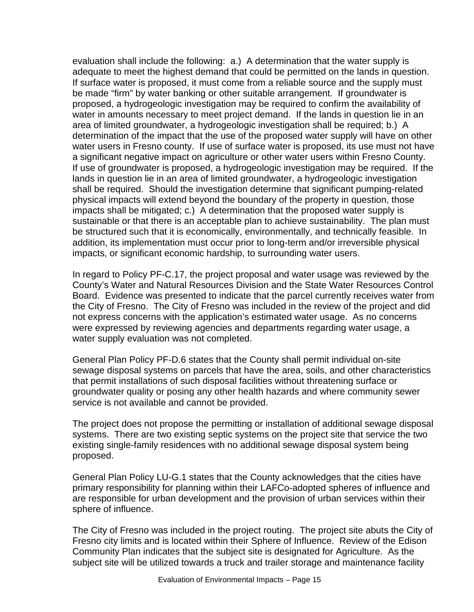evaluation shall include the following: a.) A determination that the water supply is adequate to meet the highest demand that could be permitted on the lands in question. If surface water is proposed, it must come from a reliable source and the supply must be made "firm" by water banking or other suitable arrangement. If groundwater is proposed, a hydrogeologic investigation may be required to confirm the availability of water in amounts necessary to meet project demand. If the lands in question lie in an area of limited groundwater, a hydrogeologic investigation shall be required; b.) A determination of the impact that the use of the proposed water supply will have on other water users in Fresno county. If use of surface water is proposed, its use must not have a significant negative impact on agriculture or other water users within Fresno County. If use of groundwater is proposed, a hydrogeologic investigation may be required. If the lands in question lie in an area of limited groundwater, a hydrogeologic investigation shall be required. Should the investigation determine that significant pumping-related physical impacts will extend beyond the boundary of the property in question, those impacts shall be mitigated; c.) A determination that the proposed water supply is sustainable or that there is an acceptable plan to achieve sustainability. The plan must be structured such that it is economically, environmentally, and technically feasible. In addition, its implementation must occur prior to long-term and/or irreversible physical impacts, or significant economic hardship, to surrounding water users.

In regard to Policy PF-C.17, the project proposal and water usage was reviewed by the County's Water and Natural Resources Division and the State Water Resources Control Board. Evidence was presented to indicate that the parcel currently receives water from the City of Fresno. The City of Fresno was included in the review of the project and did not express concerns with the application's estimated water usage. As no concerns were expressed by reviewing agencies and departments regarding water usage, a water supply evaluation was not completed.

General Plan Policy PF-D.6 states that the County shall permit individual on-site sewage disposal systems on parcels that have the area, soils, and other characteristics that permit installations of such disposal facilities without threatening surface or groundwater quality or posing any other health hazards and where community sewer service is not available and cannot be provided.

The project does not propose the permitting or installation of additional sewage disposal systems. There are two existing septic systems on the project site that service the two existing single-family residences with no additional sewage disposal system being proposed.

General Plan Policy LU-G.1 states that the County acknowledges that the cities have primary responsibility for planning within their LAFCo-adopted spheres of influence and are responsible for urban development and the provision of urban services within their sphere of influence.

The City of Fresno was included in the project routing. The project site abuts the City of Fresno city limits and is located within their Sphere of Influence. Review of the Edison Community Plan indicates that the subject site is designated for Agriculture. As the subject site will be utilized towards a truck and trailer storage and maintenance facility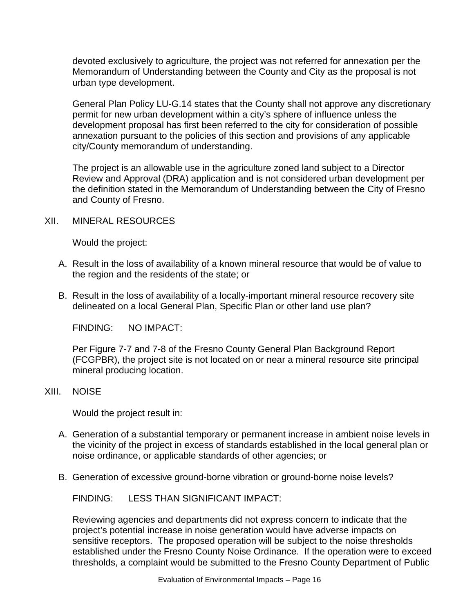devoted exclusively to agriculture, the project was not referred for annexation per the Memorandum of Understanding between the County and City as the proposal is not urban type development.

General Plan Policy LU-G.14 states that the County shall not approve any discretionary permit for new urban development within a city's sphere of influence unless the development proposal has first been referred to the city for consideration of possible annexation pursuant to the policies of this section and provisions of any applicable city/County memorandum of understanding.

The project is an allowable use in the agriculture zoned land subject to a Director Review and Approval (DRA) application and is not considered urban development per the definition stated in the Memorandum of Understanding between the City of Fresno and County of Fresno.

## XII. MINERAL RESOURCES

Would the project:

- A. Result in the loss of availability of a known mineral resource that would be of value to the region and the residents of the state; or
- B. Result in the loss of availability of a locally-important mineral resource recovery site delineated on a local General Plan, Specific Plan or other land use plan?

FINDING: NO IMPACT:

Per Figure 7-7 and 7-8 of the Fresno County General Plan Background Report (FCGPBR), the project site is not located on or near a mineral resource site principal mineral producing location.

#### XIII. NOISE

Would the project result in:

- A. Generation of a substantial temporary or permanent increase in ambient noise levels in the vicinity of the project in excess of standards established in the local general plan or noise ordinance, or applicable standards of other agencies; or
- B. Generation of excessive ground-borne vibration or ground-borne noise levels?

FINDING: LESS THAN SIGNIFICANT IMPACT:

Reviewing agencies and departments did not express concern to indicate that the project's potential increase in noise generation would have adverse impacts on sensitive receptors. The proposed operation will be subject to the noise thresholds established under the Fresno County Noise Ordinance. If the operation were to exceed thresholds, a complaint would be submitted to the Fresno County Department of Public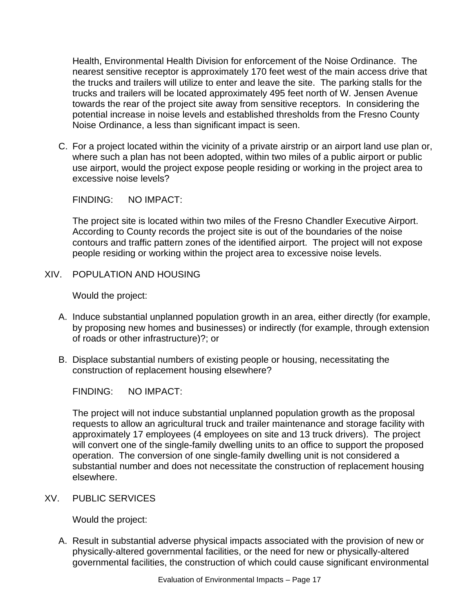Health, Environmental Health Division for enforcement of the Noise Ordinance. The nearest sensitive receptor is approximately 170 feet west of the main access drive that the trucks and trailers will utilize to enter and leave the site. The parking stalls for the trucks and trailers will be located approximately 495 feet north of W. Jensen Avenue towards the rear of the project site away from sensitive receptors. In considering the potential increase in noise levels and established thresholds from the Fresno County Noise Ordinance, a less than significant impact is seen.

C. For a project located within the vicinity of a private airstrip or an airport land use plan or, where such a plan has not been adopted, within two miles of a public airport or public use airport, would the project expose people residing or working in the project area to excessive noise levels?

FINDING: NO IMPACT:

The project site is located within two miles of the Fresno Chandler Executive Airport. According to County records the project site is out of the boundaries of the noise contours and traffic pattern zones of the identified airport. The project will not expose people residing or working within the project area to excessive noise levels.

XIV. POPULATION AND HOUSING

Would the project:

- A. Induce substantial unplanned population growth in an area, either directly (for example, by proposing new homes and businesses) or indirectly (for example, through extension of roads or other infrastructure)?; or
- B. Displace substantial numbers of existing people or housing, necessitating the construction of replacement housing elsewhere?

FINDING: NO IMPACT:

The project will not induce substantial unplanned population growth as the proposal requests to allow an agricultural truck and trailer maintenance and storage facility with approximately 17 employees (4 employees on site and 13 truck drivers). The project will convert one of the single-family dwelling units to an office to support the proposed operation. The conversion of one single-family dwelling unit is not considered a substantial number and does not necessitate the construction of replacement housing elsewhere.

XV. PUBLIC SERVICES

Would the project:

A. Result in substantial adverse physical impacts associated with the provision of new or physically-altered governmental facilities, or the need for new or physically-altered governmental facilities, the construction of which could cause significant environmental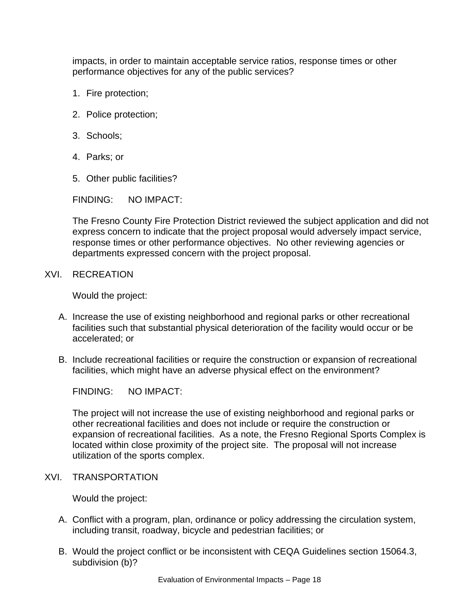impacts, in order to maintain acceptable service ratios, response times or other performance objectives for any of the public services?

- 1. Fire protection;
- 2. Police protection;
- 3. Schools;
- 4. Parks; or
- 5. Other public facilities?

FINDING: NO IMPACT:

The Fresno County Fire Protection District reviewed the subject application and did not express concern to indicate that the project proposal would adversely impact service, response times or other performance objectives. No other reviewing agencies or departments expressed concern with the project proposal.

XVI. RECREATION

Would the project:

- A. Increase the use of existing neighborhood and regional parks or other recreational facilities such that substantial physical deterioration of the facility would occur or be accelerated; or
- B. Include recreational facilities or require the construction or expansion of recreational facilities, which might have an adverse physical effect on the environment?

FINDING: NO IMPACT:

The project will not increase the use of existing neighborhood and regional parks or other recreational facilities and does not include or require the construction or expansion of recreational facilities. As a note, the Fresno Regional Sports Complex is located within close proximity of the project site. The proposal will not increase utilization of the sports complex.

XVI. TRANSPORTATION

Would the project:

- A. Conflict with a program, plan, ordinance or policy addressing the circulation system, including transit, roadway, bicycle and pedestrian facilities; or
- B. Would the project conflict or be inconsistent with CEQA Guidelines section 15064.3, subdivision (b)?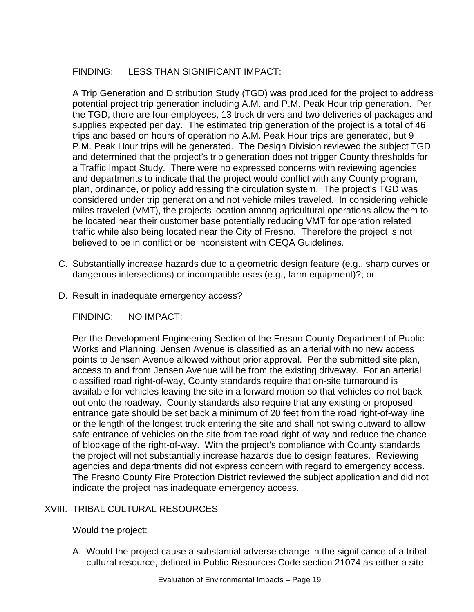# FINDING: LESS THAN SIGNIFICANT IMPACT:

A Trip Generation and Distribution Study (TGD) was produced for the project to address potential project trip generation including A.M. and P.M. Peak Hour trip generation. Per the TGD, there are four employees, 13 truck drivers and two deliveries of packages and supplies expected per day. The estimated trip generation of the project is a total of 46 trips and based on hours of operation no A.M. Peak Hour trips are generated, but 9 P.M. Peak Hour trips will be generated. The Design Division reviewed the subject TGD and determined that the project's trip generation does not trigger County thresholds for a Traffic Impact Study. There were no expressed concerns with reviewing agencies and departments to indicate that the project would conflict with any County program, plan, ordinance, or policy addressing the circulation system. The project's TGD was considered under trip generation and not vehicle miles traveled. In considering vehicle miles traveled (VMT), the projects location among agricultural operations allow them to be located near their customer base potentially reducing VMT for operation related traffic while also being located near the City of Fresno. Therefore the project is not believed to be in conflict or be inconsistent with CEQA Guidelines.

- C. Substantially increase hazards due to a geometric design feature (e.g., sharp curves or dangerous intersections) or incompatible uses (e.g., farm equipment)?; or
- D. Result in inadequate emergency access?

FINDING: NO IMPACT:

Per the Development Engineering Section of the Fresno County Department of Public Works and Planning, Jensen Avenue is classified as an arterial with no new access points to Jensen Avenue allowed without prior approval. Per the submitted site plan, access to and from Jensen Avenue will be from the existing driveway. For an arterial classified road right-of-way, County standards require that on-site turnaround is available for vehicles leaving the site in a forward motion so that vehicles do not back out onto the roadway. County standards also require that any existing or proposed entrance gate should be set back a minimum of 20 feet from the road right-of-way line or the length of the longest truck entering the site and shall not swing outward to allow safe entrance of vehicles on the site from the road right-of-way and reduce the chance of blockage of the right-of-way. With the project's compliance with County standards the project will not substantially increase hazards due to design features. Reviewing agencies and departments did not express concern with regard to emergency access. The Fresno County Fire Protection District reviewed the subject application and did not indicate the project has inadequate emergency access.

# XVIII. TRIBAL CULTURAL RESOURCES

Would the project:

A. Would the project cause a substantial adverse change in the significance of a tribal cultural resource, defined in Public Resources Code section 21074 as either a site,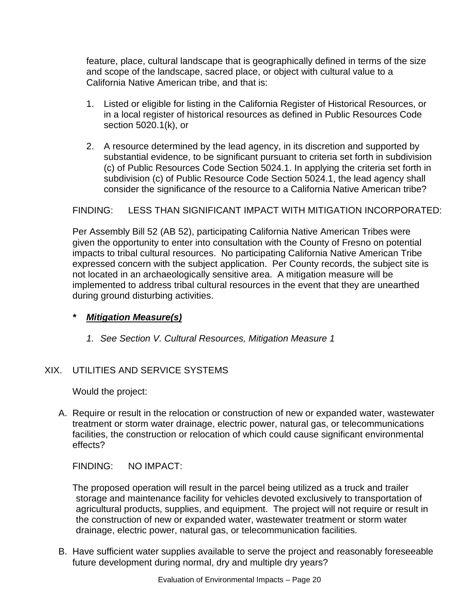feature, place, cultural landscape that is geographically defined in terms of the size and scope of the landscape, sacred place, or object with cultural value to a California Native American tribe, and that is:

- 1. Listed or eligible for listing in the California Register of Historical Resources, or in a local register of historical resources as defined in Public Resources Code section 5020.1(k), or
- 2. A resource determined by the lead agency, in its discretion and supported by substantial evidence, to be significant pursuant to criteria set forth in subdivision (c) of Public Resources Code Section 5024.1. In applying the criteria set forth in subdivision (c) of Public Resource Code Section 5024.1, the lead agency shall consider the significance of the resource to a California Native American tribe?

# FINDING: LESS THAN SIGNIFICANT IMPACT WITH MITIGATION INCORPORATED:

Per Assembly Bill 52 (AB 52), participating California Native American Tribes were given the opportunity to enter into consultation with the County of Fresno on potential impacts to tribal cultural resources. No participating California Native American Tribe expressed concern with the subject application. Per County records, the subject site is not located in an archaeologically sensitive area. A mitigation measure will be implemented to address tribal cultural resources in the event that they are unearthed during ground disturbing activities.

# *\* Mitigation Measure(s)*

*1. See Section V. Cultural Resources, Mitigation Measure 1*

# XIX. UTILITIES AND SERVICE SYSTEMS

Would the project:

A. Require or result in the relocation or construction of new or expanded water, wastewater treatment or storm water drainage, electric power, natural gas, or telecommunications facilities, the construction or relocation of which could cause significant environmental effects?

FINDING: NO IMPACT:

The proposed operation will result in the parcel being utilized as a truck and trailer storage and maintenance facility for vehicles devoted exclusively to transportation of agricultural products, supplies, and equipment. The project will not require or result in the construction of new or expanded water, wastewater treatment or storm water drainage, electric power, natural gas, or telecommunication facilities.

B. Have sufficient water supplies available to serve the project and reasonably foreseeable future development during normal, dry and multiple dry years?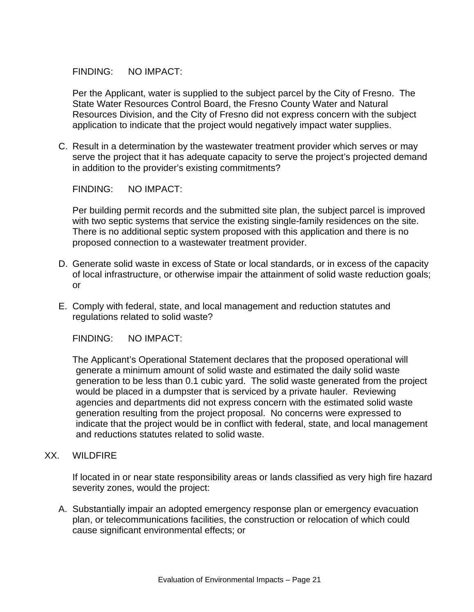FINDING: NO IMPACT:

Per the Applicant, water is supplied to the subject parcel by the City of Fresno. The State Water Resources Control Board, the Fresno County Water and Natural Resources Division, and the City of Fresno did not express concern with the subject application to indicate that the project would negatively impact water supplies.

C. Result in a determination by the wastewater treatment provider which serves or may serve the project that it has adequate capacity to serve the project's projected demand in addition to the provider's existing commitments?

FINDING: NO IMPACT:

Per building permit records and the submitted site plan, the subject parcel is improved with two septic systems that service the existing single-family residences on the site. There is no additional septic system proposed with this application and there is no proposed connection to a wastewater treatment provider.

- D. Generate solid waste in excess of State or local standards, or in excess of the capacity of local infrastructure, or otherwise impair the attainment of solid waste reduction goals; or
- E. Comply with federal, state, and local management and reduction statutes and regulations related to solid waste?

FINDING: NO IMPACT:

The Applicant's Operational Statement declares that the proposed operational will generate a minimum amount of solid waste and estimated the daily solid waste generation to be less than 0.1 cubic yard. The solid waste generated from the project would be placed in a dumpster that is serviced by a private hauler. Reviewing agencies and departments did not express concern with the estimated solid waste generation resulting from the project proposal. No concerns were expressed to indicate that the project would be in conflict with federal, state, and local management and reductions statutes related to solid waste.

XX. WILDFIRE

If located in or near state responsibility areas or lands classified as very high fire hazard severity zones, would the project:

A. Substantially impair an adopted emergency response plan or emergency evacuation plan, or telecommunications facilities, the construction or relocation of which could cause significant environmental effects; or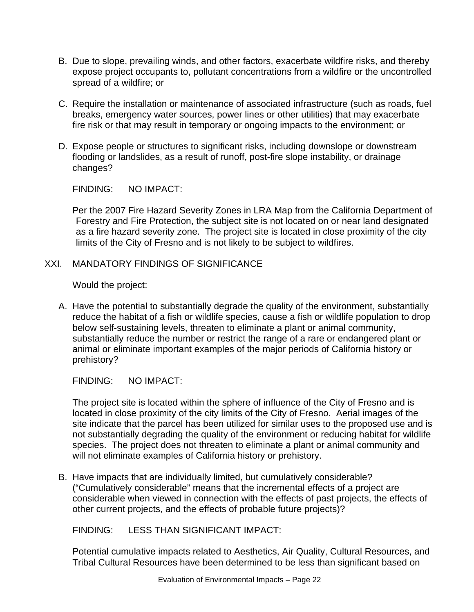- B. Due to slope, prevailing winds, and other factors, exacerbate wildfire risks, and thereby expose project occupants to, pollutant concentrations from a wildfire or the uncontrolled spread of a wildfire; or
- C. Require the installation or maintenance of associated infrastructure (such as roads, fuel breaks, emergency water sources, power lines or other utilities) that may exacerbate fire risk or that may result in temporary or ongoing impacts to the environment; or
- D. Expose people or structures to significant risks, including downslope or downstream flooding or landslides, as a result of runoff, post-fire slope instability, or drainage changes?

FINDING: NO IMPACT:

Per the 2007 Fire Hazard Severity Zones in LRA Map from the California Department of Forestry and Fire Protection, the subject site is not located on or near land designated as a fire hazard severity zone. The project site is located in close proximity of the city limits of the City of Fresno and is not likely to be subject to wildfires.

## XXI. MANDATORY FINDINGS OF SIGNIFICANCE

Would the project:

A. Have the potential to substantially degrade the quality of the environment, substantially reduce the habitat of a fish or wildlife species, cause a fish or wildlife population to drop below self-sustaining levels, threaten to eliminate a plant or animal community, substantially reduce the number or restrict the range of a rare or endangered plant or animal or eliminate important examples of the major periods of California history or prehistory?

FINDING: NO IMPACT:

The project site is located within the sphere of influence of the City of Fresno and is located in close proximity of the city limits of the City of Fresno. Aerial images of the site indicate that the parcel has been utilized for similar uses to the proposed use and is not substantially degrading the quality of the environment or reducing habitat for wildlife species. The project does not threaten to eliminate a plant or animal community and will not eliminate examples of California history or prehistory.

B. Have impacts that are individually limited, but cumulatively considerable? ("Cumulatively considerable" means that the incremental effects of a project are considerable when viewed in connection with the effects of past projects, the effects of other current projects, and the effects of probable future projects)?

FINDING: LESS THAN SIGNIFICANT IMPACT:

Potential cumulative impacts related to Aesthetics, Air Quality, Cultural Resources, and Tribal Cultural Resources have been determined to be less than significant based on